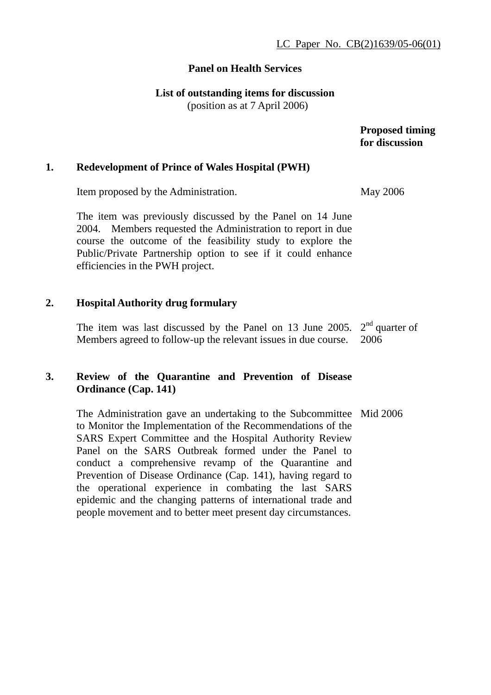#### **Panel on Health Services**

**List of outstanding items for discussion** 

(position as at 7 April 2006)

 **Proposed timing for discussion** 

#### **1. Redevelopment of Prince of Wales Hospital (PWH)**

Item proposed by the Administration.

The item was previously discussed by the Panel on 14 June 2004. Members requested the Administration to report in due course the outcome of the feasibility study to explore the Public/Private Partnership option to see if it could enhance efficiencies in the PWH project.

## **2. Hospital Authority drug formulary**

The item was last discussed by the Panel on 13 June 2005.  $2<sup>nd</sup>$  quarter of Members agreed to follow-up the relevant issues in due course. 2006

## **3. Review of the Quarantine and Prevention of Disease Ordinance (Cap. 141)**

The Administration gave an undertaking to the Subcommittee Mid 2006 to Monitor the Implementation of the Recommendations of the SARS Expert Committee and the Hospital Authority Review Panel on the SARS Outbreak formed under the Panel to conduct a comprehensive revamp of the Quarantine and Prevention of Disease Ordinance (Cap. 141), having regard to the operational experience in combating the last SARS epidemic and the changing patterns of international trade and people movement and to better meet present day circumstances.

May 2006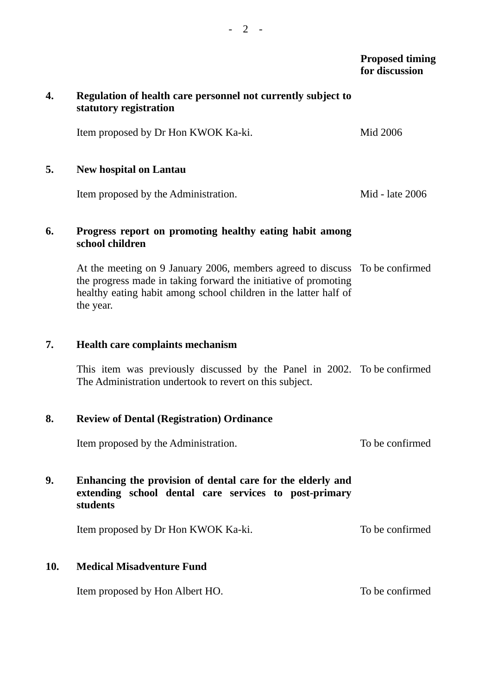#### **Proposed timing for discussion**

# **4. Regulation of health care personnel not currently subject to statutory registration**  Item proposed by Dr Hon KWOK Ka-ki. Mid 2006 **5. New hospital on Lantau**  Item proposed by the Administration. Mid - late 2006 **6. Progress report on promoting healthy eating habit among school children**  At the meeting on 9 January 2006, members agreed to discuss To be confirmed the progress made in taking forward the initiative of promoting healthy eating habit among school children in the latter half of the year. **7. Health care complaints mechanism**  This item was previously discussed by the Panel in 2002. To be confirmed The Administration undertook to revert on this subject. **8. Review of Dental (Registration) Ordinance**  Item proposed by the Administration. To be confirmed **9. Enhancing the provision of dental care for the elderly and extending school dental care services to post-primary students**  Item proposed by Dr Hon KWOK Ka-ki. To be confirmed **10. Medical Misadventure Fund**  Item proposed by Hon Albert HO. To be confirmed